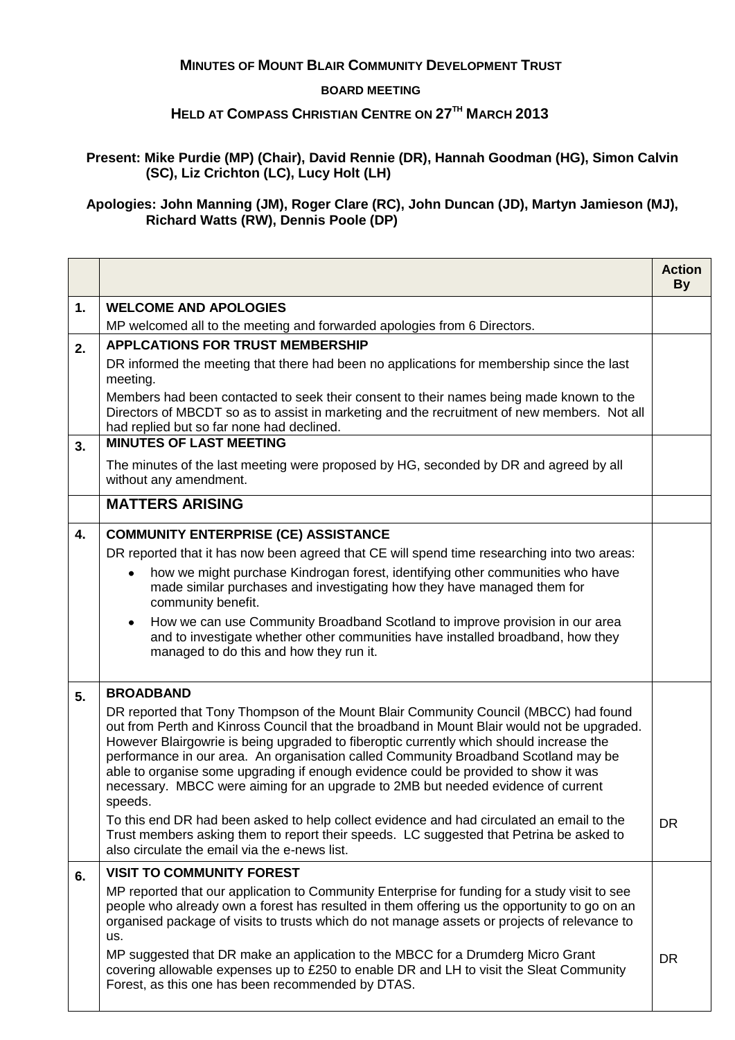## **MINUTES OF MOUNT BLAIR COMMUNITY DEVELOPMENT TRUST**

## **BOARD MEETING**

## **HELD AT COMPASS CHRISTIAN CENTRE ON 27TH MARCH 2013**

**Present: Mike Purdie (MP) (Chair), David Rennie (DR), Hannah Goodman (HG), Simon Calvin (SC), Liz Crichton (LC), Lucy Holt (LH)**

**Apologies: John Manning (JM), Roger Clare (RC), John Duncan (JD), Martyn Jamieson (MJ), Richard Watts (RW), Dennis Poole (DP)**

|    |                                                                                                                                                                                                                                                                                                                                                                                                                                                                                                                                                             | <b>Action</b><br><b>By</b> |
|----|-------------------------------------------------------------------------------------------------------------------------------------------------------------------------------------------------------------------------------------------------------------------------------------------------------------------------------------------------------------------------------------------------------------------------------------------------------------------------------------------------------------------------------------------------------------|----------------------------|
| 1. | <b>WELCOME AND APOLOGIES</b>                                                                                                                                                                                                                                                                                                                                                                                                                                                                                                                                |                            |
|    | MP welcomed all to the meeting and forwarded apologies from 6 Directors.                                                                                                                                                                                                                                                                                                                                                                                                                                                                                    |                            |
| 2. | <b>APPLCATIONS FOR TRUST MEMBERSHIP</b>                                                                                                                                                                                                                                                                                                                                                                                                                                                                                                                     |                            |
|    | DR informed the meeting that there had been no applications for membership since the last<br>meeting.                                                                                                                                                                                                                                                                                                                                                                                                                                                       |                            |
|    | Members had been contacted to seek their consent to their names being made known to the<br>Directors of MBCDT so as to assist in marketing and the recruitment of new members. Not all<br>had replied but so far none had declined.                                                                                                                                                                                                                                                                                                                         |                            |
| 3. | <b>MINUTES OF LAST MEETING</b>                                                                                                                                                                                                                                                                                                                                                                                                                                                                                                                              |                            |
|    | The minutes of the last meeting were proposed by HG, seconded by DR and agreed by all<br>without any amendment.                                                                                                                                                                                                                                                                                                                                                                                                                                             |                            |
|    | <b>MATTERS ARISING</b>                                                                                                                                                                                                                                                                                                                                                                                                                                                                                                                                      |                            |
| 4. | <b>COMMUNITY ENTERPRISE (CE) ASSISTANCE</b>                                                                                                                                                                                                                                                                                                                                                                                                                                                                                                                 |                            |
|    | DR reported that it has now been agreed that CE will spend time researching into two areas:                                                                                                                                                                                                                                                                                                                                                                                                                                                                 |                            |
|    | how we might purchase Kindrogan forest, identifying other communities who have<br>$\bullet$<br>made similar purchases and investigating how they have managed them for<br>community benefit.                                                                                                                                                                                                                                                                                                                                                                |                            |
|    | How we can use Community Broadband Scotland to improve provision in our area<br>$\bullet$<br>and to investigate whether other communities have installed broadband, how they<br>managed to do this and how they run it.                                                                                                                                                                                                                                                                                                                                     |                            |
| 5. | <b>BROADBAND</b>                                                                                                                                                                                                                                                                                                                                                                                                                                                                                                                                            |                            |
|    | DR reported that Tony Thompson of the Mount Blair Community Council (MBCC) had found<br>out from Perth and Kinross Council that the broadband in Mount Blair would not be upgraded.<br>However Blairgowrie is being upgraded to fiberoptic currently which should increase the<br>performance in our area. An organisation called Community Broadband Scotland may be<br>able to organise some upgrading if enough evidence could be provided to show it was<br>necessary. MBCC were aiming for an upgrade to 2MB but needed evidence of current<br>speeds. |                            |
|    | To this end DR had been asked to help collect evidence and had circulated an email to the<br>Trust members asking them to report their speeds. LC suggested that Petrina be asked to<br>also circulate the email via the e-news list.                                                                                                                                                                                                                                                                                                                       | <b>DR</b>                  |
| 6. | <b>VISIT TO COMMUNITY FOREST</b>                                                                                                                                                                                                                                                                                                                                                                                                                                                                                                                            |                            |
|    | MP reported that our application to Community Enterprise for funding for a study visit to see<br>people who already own a forest has resulted in them offering us the opportunity to go on an<br>organised package of visits to trusts which do not manage assets or projects of relevance to<br>us.                                                                                                                                                                                                                                                        |                            |
|    | MP suggested that DR make an application to the MBCC for a Drumderg Micro Grant<br>covering allowable expenses up to £250 to enable DR and LH to visit the Sleat Community<br>Forest, as this one has been recommended by DTAS.                                                                                                                                                                                                                                                                                                                             | <b>DR</b>                  |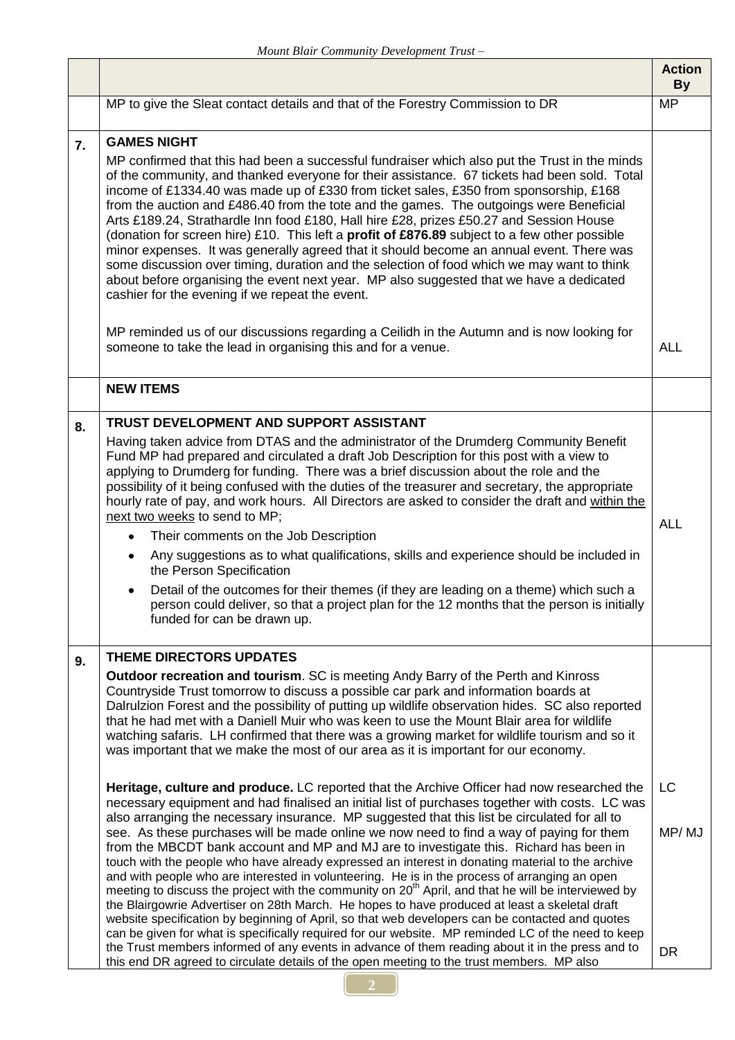$\Gamma$ 

٦

|    |                                                                                                                                                                                                                                                                                                                                                                                                                                                                                                                                                                                                                                                                                                                                                                                                                                                                                                                                                                                                                                                                                                                                                                                                                                                                                                                                                                                                                                                                                                                                                                                                                                                                                                                                                                                                                                                                                                                                     | <b>Action</b><br><b>By</b> |
|----|-------------------------------------------------------------------------------------------------------------------------------------------------------------------------------------------------------------------------------------------------------------------------------------------------------------------------------------------------------------------------------------------------------------------------------------------------------------------------------------------------------------------------------------------------------------------------------------------------------------------------------------------------------------------------------------------------------------------------------------------------------------------------------------------------------------------------------------------------------------------------------------------------------------------------------------------------------------------------------------------------------------------------------------------------------------------------------------------------------------------------------------------------------------------------------------------------------------------------------------------------------------------------------------------------------------------------------------------------------------------------------------------------------------------------------------------------------------------------------------------------------------------------------------------------------------------------------------------------------------------------------------------------------------------------------------------------------------------------------------------------------------------------------------------------------------------------------------------------------------------------------------------------------------------------------------|----------------------------|
|    | MP to give the Sleat contact details and that of the Forestry Commission to DR                                                                                                                                                                                                                                                                                                                                                                                                                                                                                                                                                                                                                                                                                                                                                                                                                                                                                                                                                                                                                                                                                                                                                                                                                                                                                                                                                                                                                                                                                                                                                                                                                                                                                                                                                                                                                                                      | <b>MP</b>                  |
| 7. | <b>GAMES NIGHT</b><br>MP confirmed that this had been a successful fundraiser which also put the Trust in the minds<br>of the community, and thanked everyone for their assistance. 67 tickets had been sold. Total<br>income of £1334.40 was made up of £330 from ticket sales, £350 from sponsorship, £168<br>from the auction and £486.40 from the tote and the games. The outgoings were Beneficial<br>Arts £189.24, Strathardle Inn food £180, Hall hire £28, prizes £50.27 and Session House<br>(donation for screen hire) £10. This left a profit of £876.89 subject to a few other possible<br>minor expenses. It was generally agreed that it should become an annual event. There was<br>some discussion over timing, duration and the selection of food which we may want to think<br>about before organising the event next year. MP also suggested that we have a dedicated<br>cashier for the evening if we repeat the event.<br>MP reminded us of our discussions regarding a Ceilidh in the Autumn and is now looking for                                                                                                                                                                                                                                                                                                                                                                                                                                                                                                                                                                                                                                                                                                                                                                                                                                                                                           |                            |
|    | someone to take the lead in organising this and for a venue.                                                                                                                                                                                                                                                                                                                                                                                                                                                                                                                                                                                                                                                                                                                                                                                                                                                                                                                                                                                                                                                                                                                                                                                                                                                                                                                                                                                                                                                                                                                                                                                                                                                                                                                                                                                                                                                                        | <b>ALL</b>                 |
|    | <b>NEW ITEMS</b>                                                                                                                                                                                                                                                                                                                                                                                                                                                                                                                                                                                                                                                                                                                                                                                                                                                                                                                                                                                                                                                                                                                                                                                                                                                                                                                                                                                                                                                                                                                                                                                                                                                                                                                                                                                                                                                                                                                    |                            |
| 8. | TRUST DEVELOPMENT AND SUPPORT ASSISTANT<br>Having taken advice from DTAS and the administrator of the Drumderg Community Benefit<br>Fund MP had prepared and circulated a draft Job Description for this post with a view to<br>applying to Drumderg for funding. There was a brief discussion about the role and the<br>possibility of it being confused with the duties of the treasurer and secretary, the appropriate<br>hourly rate of pay, and work hours. All Directors are asked to consider the draft and within the<br>next two weeks to send to MP;<br>Their comments on the Job Description<br>$\bullet$<br>Any suggestions as to what qualifications, skills and experience should be included in<br>٠<br>the Person Specification<br>Detail of the outcomes for their themes (if they are leading on a theme) which such a<br>person could deliver, so that a project plan for the 12 months that the person is initially<br>funded for can be drawn up.                                                                                                                                                                                                                                                                                                                                                                                                                                                                                                                                                                                                                                                                                                                                                                                                                                                                                                                                                              | <b>ALL</b>                 |
| 9. | <b>THEME DIRECTORS UPDATES</b><br><b>Outdoor recreation and tourism.</b> SC is meeting Andy Barry of the Perth and Kinross<br>Countryside Trust tomorrow to discuss a possible car park and information boards at<br>Dalrulzion Forest and the possibility of putting up wildlife observation hides. SC also reported<br>that he had met with a Daniell Muir who was keen to use the Mount Blair area for wildlife<br>watching safaris. LH confirmed that there was a growing market for wildlife tourism and so it<br>was important that we make the most of our area as it is important for our economy.<br>Heritage, culture and produce. LC reported that the Archive Officer had now researched the<br>necessary equipment and had finalised an initial list of purchases together with costs. LC was<br>also arranging the necessary insurance. MP suggested that this list be circulated for all to<br>see. As these purchases will be made online we now need to find a way of paying for them<br>from the MBCDT bank account and MP and MJ are to investigate this. Richard has been in<br>touch with the people who have already expressed an interest in donating material to the archive<br>and with people who are interested in volunteering. He is in the process of arranging an open<br>meeting to discuss the project with the community on 20 <sup>th</sup> April, and that he will be interviewed by<br>the Blairgowrie Advertiser on 28th March. He hopes to have produced at least a skeletal draft<br>website specification by beginning of April, so that web developers can be contacted and quotes<br>can be given for what is specifically required for our website. MP reminded LC of the need to keep<br>the Trust members informed of any events in advance of them reading about it in the press and to<br>this end DR agreed to circulate details of the open meeting to the trust members. MP also | LC<br>MP/MJ<br><b>DR</b>   |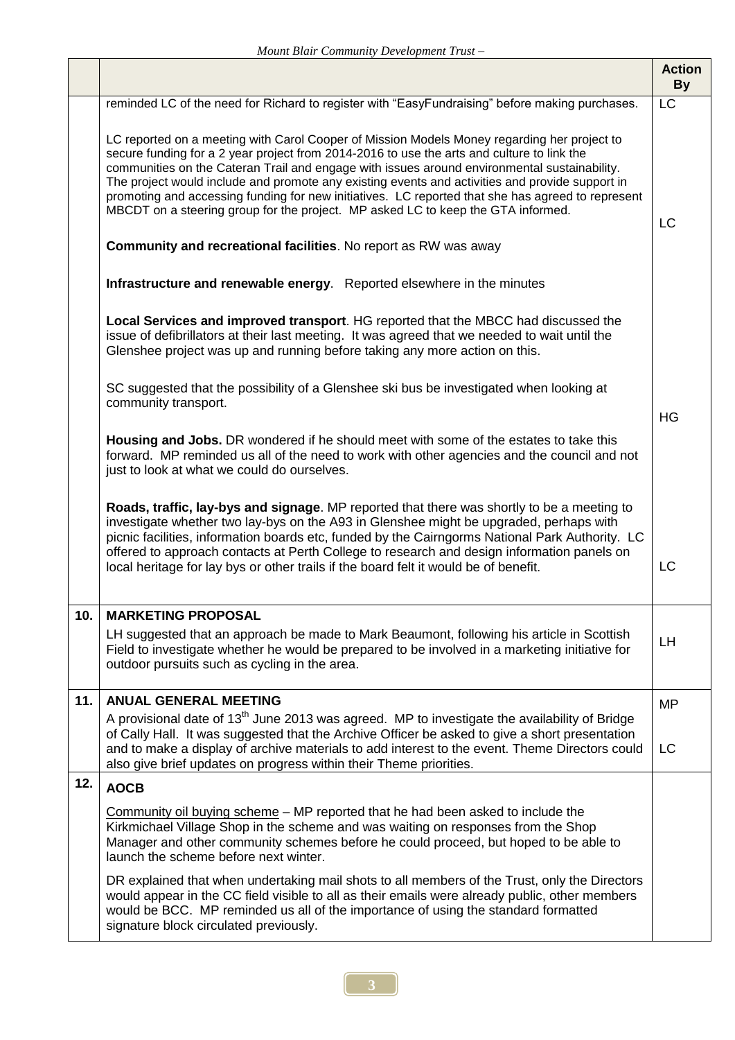|     |                                                                                                                                                                                                                                                                                                                                                                                                                                                                                                                                                                                       | <b>Action</b><br><b>By</b> |
|-----|---------------------------------------------------------------------------------------------------------------------------------------------------------------------------------------------------------------------------------------------------------------------------------------------------------------------------------------------------------------------------------------------------------------------------------------------------------------------------------------------------------------------------------------------------------------------------------------|----------------------------|
|     | reminded LC of the need for Richard to register with "EasyFundraising" before making purchases.                                                                                                                                                                                                                                                                                                                                                                                                                                                                                       | $\overline{\text{LC}}$     |
|     | LC reported on a meeting with Carol Cooper of Mission Models Money regarding her project to<br>secure funding for a 2 year project from 2014-2016 to use the arts and culture to link the<br>communities on the Cateran Trail and engage with issues around environmental sustainability.<br>The project would include and promote any existing events and activities and provide support in<br>promoting and accessing funding for new initiatives. LC reported that she has agreed to represent<br>MBCDT on a steering group for the project. MP asked LC to keep the GTA informed. | LC                         |
|     | <b>Community and recreational facilities. No report as RW was away</b>                                                                                                                                                                                                                                                                                                                                                                                                                                                                                                                |                            |
|     | Infrastructure and renewable energy. Reported elsewhere in the minutes                                                                                                                                                                                                                                                                                                                                                                                                                                                                                                                |                            |
|     | Local Services and improved transport. HG reported that the MBCC had discussed the<br>issue of defibrillators at their last meeting. It was agreed that we needed to wait until the<br>Glenshee project was up and running before taking any more action on this.                                                                                                                                                                                                                                                                                                                     |                            |
|     | SC suggested that the possibility of a Glenshee ski bus be investigated when looking at<br>community transport.                                                                                                                                                                                                                                                                                                                                                                                                                                                                       | HG                         |
|     | Housing and Jobs. DR wondered if he should meet with some of the estates to take this<br>forward. MP reminded us all of the need to work with other agencies and the council and not<br>just to look at what we could do ourselves.                                                                                                                                                                                                                                                                                                                                                   |                            |
|     | Roads, traffic, lay-bys and signage. MP reported that there was shortly to be a meeting to<br>investigate whether two lay-bys on the A93 in Glenshee might be upgraded, perhaps with<br>picnic facilities, information boards etc, funded by the Cairngorms National Park Authority. LC<br>offered to approach contacts at Perth College to research and design information panels on<br>local heritage for lay bys or other trails if the board felt it would be of benefit.                                                                                                         | LC                         |
| 10. | <b>MARKETING PROPOSAL</b>                                                                                                                                                                                                                                                                                                                                                                                                                                                                                                                                                             |                            |
|     | LH suggested that an approach be made to Mark Beaumont, following his article in Scottish<br>Field to investigate whether he would be prepared to be involved in a marketing initiative for<br>outdoor pursuits such as cycling in the area.                                                                                                                                                                                                                                                                                                                                          | LH.                        |
| 11. | <b>ANUAL GENERAL MEETING</b>                                                                                                                                                                                                                                                                                                                                                                                                                                                                                                                                                          | <b>MP</b>                  |
|     | A provisional date of 13 <sup>th</sup> June 2013 was agreed. MP to investigate the availability of Bridge<br>of Cally Hall. It was suggested that the Archive Officer be asked to give a short presentation<br>and to make a display of archive materials to add interest to the event. Theme Directors could<br>also give brief updates on progress within their Theme priorities.                                                                                                                                                                                                   | LC                         |
| 12. | <b>AOCB</b>                                                                                                                                                                                                                                                                                                                                                                                                                                                                                                                                                                           |                            |
|     | Community oil buying scheme - MP reported that he had been asked to include the<br>Kirkmichael Village Shop in the scheme and was waiting on responses from the Shop<br>Manager and other community schemes before he could proceed, but hoped to be able to<br>launch the scheme before next winter.                                                                                                                                                                                                                                                                                 |                            |
|     | DR explained that when undertaking mail shots to all members of the Trust, only the Directors<br>would appear in the CC field visible to all as their emails were already public, other members<br>would be BCC. MP reminded us all of the importance of using the standard formatted<br>signature block circulated previously.                                                                                                                                                                                                                                                       |                            |